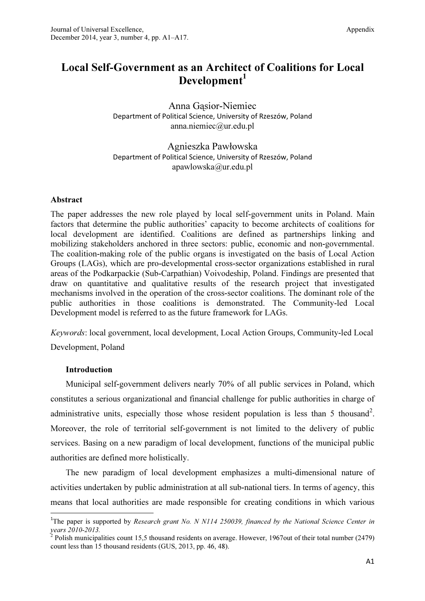# Local Self-Government as an Architect of Coalitions for Local Development<sup>1</sup>

Anna Gąsior-Niemiec Department of Political Science, University of Rzeszów, Poland anna.niemiec@ur.edu.pl

Agnieszka Pawłowska Department of Political Science, University of Rzeszów, Poland apawlowska@ur.edu.pl

# Abstract

The paper addresses the new role played by local self-government units in Poland. Main factors that determine the public authorities' capacity to become architects of coalitions for local development are identified. Coalitions are defined as partnerships linking and mobilizing stakeholders anchored in three sectors: public, economic and non-governmental. The coalition-making role of the public organs is investigated on the basis of Local Action Groups (LAGs), which are pro-developmental cross-sector organizations established in rural areas of the Podkarpackie (Sub-Carpathian) Voivodeship, Poland. Findings are presented that draw on quantitative and qualitative results of the research project that investigated mechanisms involved in the operation of the cross-sector coalitions. The dominant role of the public authorities in those coalitions is demonstrated. The Community-led Local Development model is referred to as the future framework for LAGs.

Keywords: local government, local development, Local Action Groups, Community-led Local

Development, Poland

# Introduction

l

Municipal self-government delivers nearly 70% of all public services in Poland, which constitutes a serious organizational and financial challenge for public authorities in charge of administrative units, especially those whose resident population is less than 5 thousand<sup>2</sup>. Moreover, the role of territorial self-government is not limited to the delivery of public services. Basing on a new paradigm of local development, functions of the municipal public authorities are defined more holistically.

The new paradigm of local development emphasizes a multi-dimensional nature of activities undertaken by public administration at all sub-national tiers. In terms of agency, this means that local authorities are made responsible for creating conditions in which various

<sup>&</sup>lt;sup>1</sup>The paper is supported by Research grant No. N N114 250039, financed by the National Science Center in years 2010-2013.

 $2^{2}$  Polish municipalities count 15,5 thousand residents on average. However, 1967 out of their total number (2479) count less than 15 thousand residents (GUS, 2013, pp. 46, 48).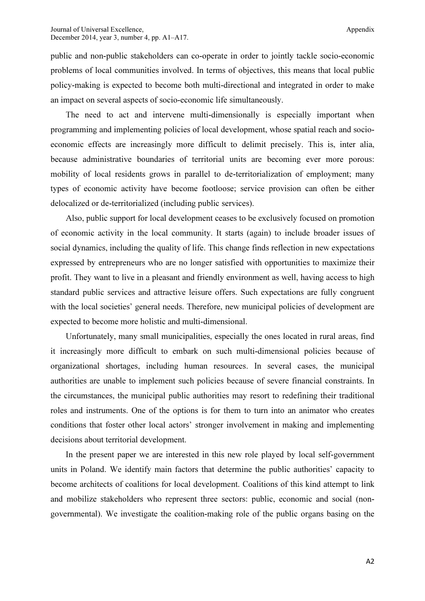public and non-public stakeholders can co-operate in order to jointly tackle socio-economic problems of local communities involved. In terms of objectives, this means that local public policy-making is expected to become both multi-directional and integrated in order to make an impact on several aspects of socio-economic life simultaneously.

The need to act and intervene multi-dimensionally is especially important when programming and implementing policies of local development, whose spatial reach and socioeconomic effects are increasingly more difficult to delimit precisely. This is, inter alia, because administrative boundaries of territorial units are becoming ever more porous: mobility of local residents grows in parallel to de-territorialization of employment; many types of economic activity have become footloose; service provision can often be either delocalized or de-territorialized (including public services).

Also, public support for local development ceases to be exclusively focused on promotion of economic activity in the local community. It starts (again) to include broader issues of social dynamics, including the quality of life. This change finds reflection in new expectations expressed by entrepreneurs who are no longer satisfied with opportunities to maximize their profit. They want to live in a pleasant and friendly environment as well, having access to high standard public services and attractive leisure offers. Such expectations are fully congruent with the local societies' general needs. Therefore, new municipal policies of development are expected to become more holistic and multi-dimensional.

Unfortunately, many small municipalities, especially the ones located in rural areas, find it increasingly more difficult to embark on such multi-dimensional policies because of organizational shortages, including human resources. In several cases, the municipal authorities are unable to implement such policies because of severe financial constraints. In the circumstances, the municipal public authorities may resort to redefining their traditional roles and instruments. One of the options is for them to turn into an animator who creates conditions that foster other local actors' stronger involvement in making and implementing decisions about territorial development.

In the present paper we are interested in this new role played by local self-government units in Poland. We identify main factors that determine the public authorities' capacity to become architects of coalitions for local development. Coalitions of this kind attempt to link and mobilize stakeholders who represent three sectors: public, economic and social (nongovernmental). We investigate the coalition-making role of the public organs basing on the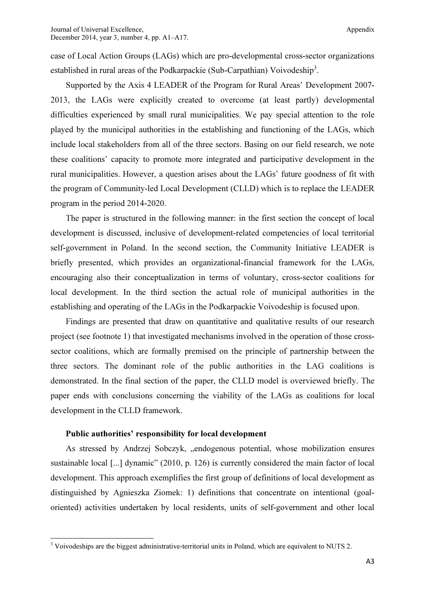case of Local Action Groups (LAGs) which are pro-developmental cross-sector organizations established in rural areas of the Podkarpackie (Sub-Carpathian) Voivodeship<sup>3</sup>.

Supported by the Axis 4 LEADER of the Program for Rural Areas' Development 2007- 2013, the LAGs were explicitly created to overcome (at least partly) developmental difficulties experienced by small rural municipalities. We pay special attention to the role played by the municipal authorities in the establishing and functioning of the LAGs, which include local stakeholders from all of the three sectors. Basing on our field research, we note these coalitions' capacity to promote more integrated and participative development in the rural municipalities. However, a question arises about the LAGs' future goodness of fit with the program of Community-led Local Development (CLLD) which is to replace the LEADER program in the period 2014-2020.

The paper is structured in the following manner: in the first section the concept of local development is discussed, inclusive of development-related competencies of local territorial self-government in Poland. In the second section, the Community Initiative LEADER is briefly presented, which provides an organizational-financial framework for the LAGs, encouraging also their conceptualization in terms of voluntary, cross-sector coalitions for local development. In the third section the actual role of municipal authorities in the establishing and operating of the LAGs in the Podkarpackie Voivodeship is focused upon.

Findings are presented that draw on quantitative and qualitative results of our research project (see footnote 1) that investigated mechanisms involved in the operation of those crosssector coalitions, which are formally premised on the principle of partnership between the three sectors. The dominant role of the public authorities in the LAG coalitions is demonstrated. In the final section of the paper, the CLLD model is overviewed briefly. The paper ends with conclusions concerning the viability of the LAGs as coalitions for local development in the CLLD framework.

#### Public authorities' responsibility for local development

As stressed by Andrzej Sobczyk, "endogenous potential, whose mobilization ensures sustainable local [...] dynamic" (2010, p. 126) is currently considered the main factor of local development. This approach exemplifies the first group of definitions of local development as distinguished by Agnieszka Ziomek: 1) definitions that concentrate on intentional (goaloriented) activities undertaken by local residents, units of self-government and other local

<sup>&</sup>lt;sup>3</sup> Voivodeships are the biggest administrative-territorial units in Poland, which are equivalent to NUTS 2.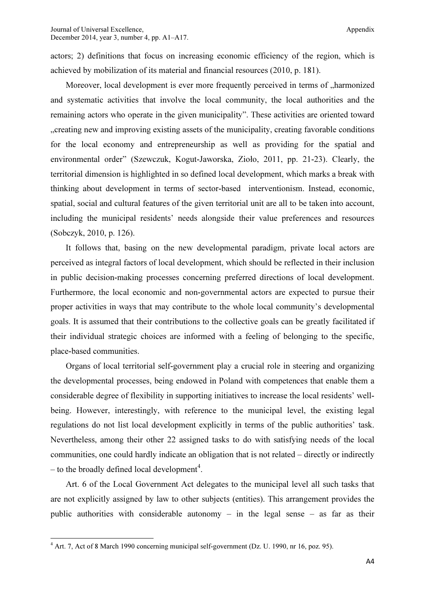actors; 2) definitions that focus on increasing economic efficiency of the region, which is achieved by mobilization of its material and financial resources (2010, p. 181).

Moreover, local development is ever more frequently perceived in terms of  $\Lambda$ harmonized and systematic activities that involve the local community, the local authorities and the remaining actors who operate in the given municipality". These activities are oriented toward "... creating new and improving existing assets of the municipality, creating favorable conditions" for the local economy and entrepreneurship as well as providing for the spatial and environmental order" (Szewczuk, Kogut-Jaworska, Zioło, 2011, pp. 21-23). Clearly, the territorial dimension is highlighted in so defined local development, which marks a break with thinking about development in terms of sector-based interventionism. Instead, economic, spatial, social and cultural features of the given territorial unit are all to be taken into account, including the municipal residents' needs alongside their value preferences and resources (Sobczyk, 2010, p. 126).

It follows that, basing on the new developmental paradigm, private local actors are perceived as integral factors of local development, which should be reflected in their inclusion in public decision-making processes concerning preferred directions of local development. Furthermore, the local economic and non-governmental actors are expected to pursue their proper activities in ways that may contribute to the whole local community's developmental goals. It is assumed that their contributions to the collective goals can be greatly facilitated if their individual strategic choices are informed with a feeling of belonging to the specific, place-based communities.

Organs of local territorial self-government play a crucial role in steering and organizing the developmental processes, being endowed in Poland with competences that enable them a considerable degree of flexibility in supporting initiatives to increase the local residents' wellbeing. However, interestingly, with reference to the municipal level, the existing legal regulations do not list local development explicitly in terms of the public authorities' task. Nevertheless, among their other 22 assigned tasks to do with satisfying needs of the local communities, one could hardly indicate an obligation that is not related – directly or indirectly  $-$  to the broadly defined local development<sup>4</sup>.

Art. 6 of the Local Government Act delegates to the municipal level all such tasks that are not explicitly assigned by law to other subjects (entities). This arrangement provides the public authorities with considerable autonomy – in the legal sense – as far as their

l

<sup>&</sup>lt;sup>4</sup> Art. 7, Act of 8 March 1990 concerning municipal self-government (Dz. U. 1990, nr 16, poz. 95).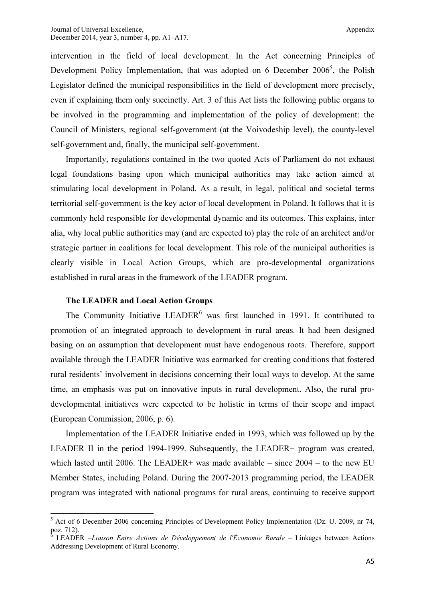intervention in the field of local development. In the Act concerning Principles of Development Policy Implementation, that was adopted on 6 December  $2006^5$ , the Polish Legislator defined the municipal responsibilities in the field of development more precisely, even if explaining them only succinctly. Art. 3 of this Act lists the following public organs to be involved in the programming and implementation of the policy of development: the Council of Ministers, regional self-government (at the Voivodeship level), the county-level self-government and, finally, the municipal self-government.

Importantly, regulations contained in the two quoted Acts of Parliament do not exhaust legal foundations basing upon which municipal authorities may take action aimed at stimulating local development in Poland. As a result, in legal, political and societal terms territorial self-government is the key actor of local development in Poland. It follows that it is commonly held responsible for developmental dynamic and its outcomes. This explains, inter alia, why local public authorities may (and are expected to) play the role of an architect and/or strategic partner in coalitions for local development. This role of the municipal authorities is clearly visible in Local Action Groups, which are pro-developmental organizations established in rural areas in the framework of the LEADER program.

## The LEADER and Local Action Groups

The Community Initiative LEADER<sup>6</sup> was first launched in 1991. It contributed to promotion of an integrated approach to development in rural areas. It had been designed basing on an assumption that development must have endogenous roots. Therefore, support available through the LEADER Initiative was earmarked for creating conditions that fostered rural residents' involvement in decisions concerning their local ways to develop. At the same time, an emphasis was put on innovative inputs in rural development. Also, the rural prodevelopmental initiatives were expected to be holistic in terms of their scope and impact (European Commission, 2006, p. 6).

Implementation of the LEADER Initiative ended in 1993, which was followed up by the LEADER II in the period 1994-1999. Subsequently, the LEADER+ program was created, which lasted until 2006. The LEADER+ was made available – since  $2004 -$  to the new EU Member States, including Poland. During the 2007-2013 programming period, the LEADER program was integrated with national programs for rural areas, continuing to receive support

<sup>&</sup>lt;sup>5</sup> Act of 6 December 2006 concerning Principles of Development Policy Implementation (Dz. U. 2009, nr 74, poz. 712).

<sup>&</sup>lt;sup>6</sup> LEADER –Liaison Entre Actions de Développement de l'Économie Rurale – Linkages between Actions Addressing Development of Rural Economy.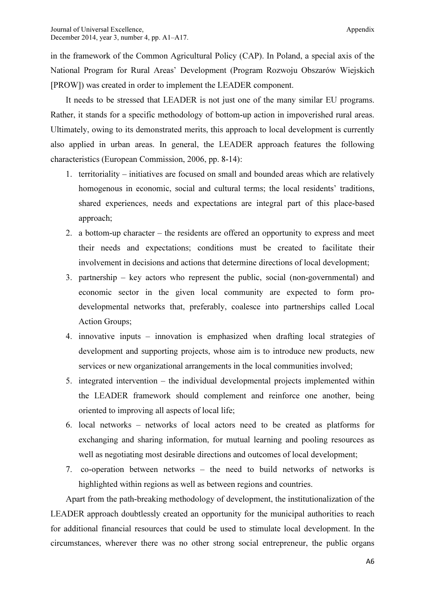in the framework of the Common Agricultural Policy (CAP). In Poland, a special axis of the National Program for Rural Areas' Development (Program Rozwoju Obszarów Wiejskich [PROW]) was created in order to implement the LEADER component.

It needs to be stressed that LEADER is not just one of the many similar EU programs. Rather, it stands for a specific methodology of bottom-up action in impoverished rural areas. Ultimately, owing to its demonstrated merits, this approach to local development is currently also applied in urban areas. In general, the LEADER approach features the following characteristics (European Commission, 2006, pp. 8-14):

- 1. territoriality initiatives are focused on small and bounded areas which are relatively homogenous in economic, social and cultural terms; the local residents' traditions, shared experiences, needs and expectations are integral part of this place-based approach;
- 2. a bottom-up character the residents are offered an opportunity to express and meet their needs and expectations; conditions must be created to facilitate their involvement in decisions and actions that determine directions of local development;
- 3. partnership key actors who represent the public, social (non-governmental) and economic sector in the given local community are expected to form prodevelopmental networks that, preferably, coalesce into partnerships called Local Action Groups;
- 4. innovative inputs innovation is emphasized when drafting local strategies of development and supporting projects, whose aim is to introduce new products, new services or new organizational arrangements in the local communities involved;
- 5. integrated intervention the individual developmental projects implemented within the LEADER framework should complement and reinforce one another, being oriented to improving all aspects of local life;
- 6. local networks networks of local actors need to be created as platforms for exchanging and sharing information, for mutual learning and pooling resources as well as negotiating most desirable directions and outcomes of local development;
- 7. co-operation between networks the need to build networks of networks is highlighted within regions as well as between regions and countries.

Apart from the path-breaking methodology of development, the institutionalization of the LEADER approach doubtlessly created an opportunity for the municipal authorities to reach for additional financial resources that could be used to stimulate local development. In the circumstances, wherever there was no other strong social entrepreneur, the public organs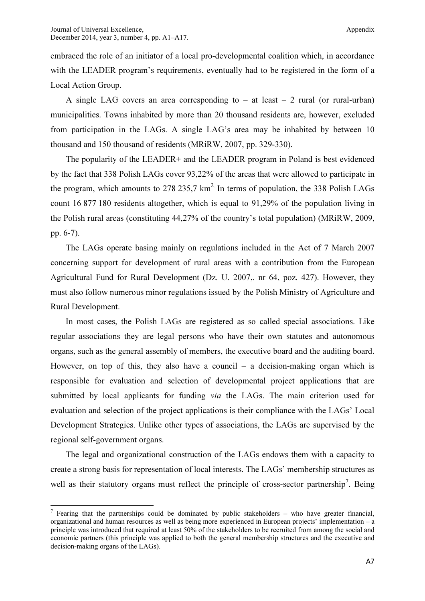$\overline{\phantom{a}}$ 

embraced the role of an initiator of a local pro-developmental coalition which, in accordance with the LEADER program's requirements, eventually had to be registered in the form of a Local Action Group.

A single LAG covers an area corresponding to  $-$  at least  $-$  2 rural (or rural-urban) municipalities. Towns inhabited by more than 20 thousand residents are, however, excluded from participation in the LAGs. A single LAG's area may be inhabited by between 10 thousand and 150 thousand of residents (MRiRW, 2007, pp. 329-330).

The popularity of the LEADER+ and the LEADER program in Poland is best evidenced by the fact that 338 Polish LAGs cover 93,22% of the areas that were allowed to participate in the program, which amounts to 278 235,7  $km^2$ . In terms of population, the 338 Polish LAGs count 16 877 180 residents altogether, which is equal to 91,29% of the population living in the Polish rural areas (constituting 44,27% of the country's total population) (MRiRW, 2009, pp. 6-7).

The LAGs operate basing mainly on regulations included in the Act of 7 March 2007 concerning support for development of rural areas with a contribution from the European Agricultural Fund for Rural Development (Dz. U. 2007,. nr 64, poz. 427). However, they must also follow numerous minor regulations issued by the Polish Ministry of Agriculture and Rural Development.

In most cases, the Polish LAGs are registered as so called special associations. Like regular associations they are legal persons who have their own statutes and autonomous organs, such as the general assembly of members, the executive board and the auditing board. However, on top of this, they also have a council – a decision-making organ which is responsible for evaluation and selection of developmental project applications that are submitted by local applicants for funding *via* the LAGs. The main criterion used for evaluation and selection of the project applications is their compliance with the LAGs' Local Development Strategies. Unlike other types of associations, the LAGs are supervised by the regional self-government organs.

The legal and organizational construction of the LAGs endows them with a capacity to create a strong basis for representation of local interests. The LAGs' membership structures as well as their statutory organs must reflect the principle of cross-sector partnership<sup>7</sup>. Being

<sup>&</sup>lt;sup>7</sup> Fearing that the partnerships could be dominated by public stakeholders – who have greater financial, organizational and human resources as well as being more experienced in European projects' implementation – a principle was introduced that required at least 50% of the stakeholders to be recruited from among the social and economic partners (this principle was applied to both the general membership structures and the executive and decision-making organs of the LAGs).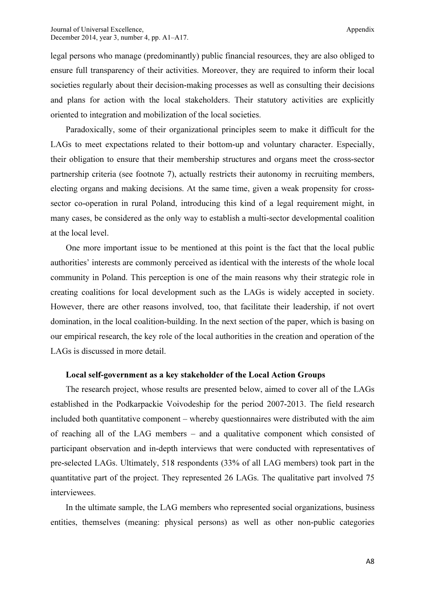legal persons who manage (predominantly) public financial resources, they are also obliged to ensure full transparency of their activities. Moreover, they are required to inform their local societies regularly about their decision-making processes as well as consulting their decisions and plans for action with the local stakeholders. Their statutory activities are explicitly oriented to integration and mobilization of the local societies.

Paradoxically, some of their organizational principles seem to make it difficult for the LAGs to meet expectations related to their bottom-up and voluntary character. Especially, their obligation to ensure that their membership structures and organs meet the cross-sector partnership criteria (see footnote 7), actually restricts their autonomy in recruiting members, electing organs and making decisions. At the same time, given a weak propensity for crosssector co-operation in rural Poland, introducing this kind of a legal requirement might, in many cases, be considered as the only way to establish a multi-sector developmental coalition at the local level.

One more important issue to be mentioned at this point is the fact that the local public authorities' interests are commonly perceived as identical with the interests of the whole local community in Poland. This perception is one of the main reasons why their strategic role in creating coalitions for local development such as the LAGs is widely accepted in society. However, there are other reasons involved, too, that facilitate their leadership, if not overt domination, in the local coalition-building. In the next section of the paper, which is basing on our empirical research, the key role of the local authorities in the creation and operation of the LAGs is discussed in more detail.

#### Local self-government as a key stakeholder of the Local Action Groups

The research project, whose results are presented below, aimed to cover all of the LAGs established in the Podkarpackie Voivodeship for the period 2007-2013. The field research included both quantitative component – whereby questionnaires were distributed with the aim of reaching all of the LAG members – and a qualitative component which consisted of participant observation and in-depth interviews that were conducted with representatives of pre-selected LAGs. Ultimately, 518 respondents (33% of all LAG members) took part in the quantitative part of the project. They represented 26 LAGs. The qualitative part involved 75 interviewees.

In the ultimate sample, the LAG members who represented social organizations, business entities, themselves (meaning: physical persons) as well as other non-public categories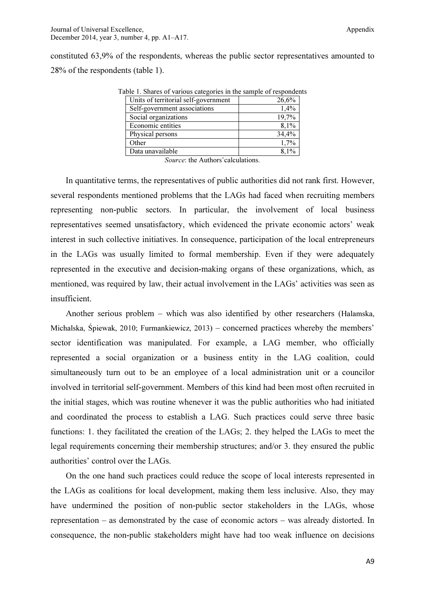constituted 63,9% of the respondents, whereas the public sector representatives amounted to 28% of the respondents (table 1).

| able 1. Shares of various categories in the sample of responden |       |
|-----------------------------------------------------------------|-------|
| Units of territorial self-government                            | 26,6% |
| Self-government associations                                    | 1,4%  |
| Social organizations                                            | 19,7% |
| Economic entities                                               | 8,1%  |
| Physical persons                                                | 34,4% |
| Other                                                           | 1,7%  |
| Data unavailable                                                | 8,1%  |

Table 1. Shares of various categories in the sample of respondents

Source: the Authors'calculations.

In quantitative terms, the representatives of public authorities did not rank first. However, several respondents mentioned problems that the LAGs had faced when recruiting members representing non-public sectors. In particular, the involvement of local business representatives seemed unsatisfactory, which evidenced the private economic actors' weak interest in such collective initiatives. In consequence, participation of the local entrepreneurs in the LAGs was usually limited to formal membership. Even if they were adequately represented in the executive and decision-making organs of these organizations, which, as mentioned, was required by law, their actual involvement in the LAGs' activities was seen as insufficient.

Another serious problem – which was also identified by other researchers (Halamska, Michalska, Śpiewak, 2010; Furmankiewicz, 2013) – concerned practices whereby the members' sector identification was manipulated. For example, a LAG member, who officially represented a social organization or a business entity in the LAG coalition, could simultaneously turn out to be an employee of a local administration unit or a councilor involved in territorial self-government. Members of this kind had been most often recruited in the initial stages, which was routine whenever it was the public authorities who had initiated and coordinated the process to establish a LAG. Such practices could serve three basic functions: 1. they facilitated the creation of the LAGs; 2. they helped the LAGs to meet the legal requirements concerning their membership structures; and/or 3. they ensured the public authorities' control over the LAGs.

On the one hand such practices could reduce the scope of local interests represented in the LAGs as coalitions for local development, making them less inclusive. Also, they may have undermined the position of non-public sector stakeholders in the LAGs, whose representation – as demonstrated by the case of economic actors – was already distorted. In consequence, the non-public stakeholders might have had too weak influence on decisions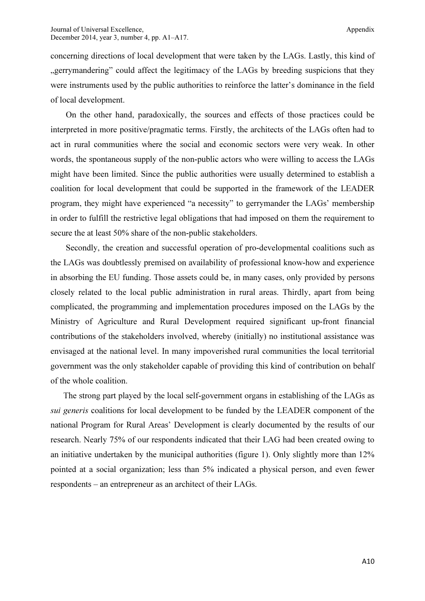concerning directions of local development that were taken by the LAGs. Lastly, this kind of gerrymandering" could affect the legitimacy of the LAGs by breeding suspicions that they were instruments used by the public authorities to reinforce the latter's dominance in the field of local development.

On the other hand, paradoxically, the sources and effects of those practices could be interpreted in more positive/pragmatic terms. Firstly, the architects of the LAGs often had to act in rural communities where the social and economic sectors were very weak. In other words, the spontaneous supply of the non-public actors who were willing to access the LAGs might have been limited. Since the public authorities were usually determined to establish a coalition for local development that could be supported in the framework of the LEADER program, they might have experienced "a necessity" to gerrymander the LAGs' membership in order to fulfill the restrictive legal obligations that had imposed on them the requirement to secure the at least 50% share of the non-public stakeholders.

Secondly, the creation and successful operation of pro-developmental coalitions such as the LAGs was doubtlessly premised on availability of professional know-how and experience in absorbing the EU funding. Those assets could be, in many cases, only provided by persons closely related to the local public administration in rural areas. Thirdly, apart from being complicated, the programming and implementation procedures imposed on the LAGs by the Ministry of Agriculture and Rural Development required significant up-front financial contributions of the stakeholders involved, whereby (initially) no institutional assistance was envisaged at the national level. In many impoverished rural communities the local territorial government was the only stakeholder capable of providing this kind of contribution on behalf of the whole coalition.

The strong part played by the local self-government organs in establishing of the LAGs as sui generis coalitions for local development to be funded by the LEADER component of the national Program for Rural Areas' Development is clearly documented by the results of our research. Nearly 75% of our respondents indicated that their LAG had been created owing to an initiative undertaken by the municipal authorities (figure 1). Only slightly more than 12% pointed at a social organization; less than 5% indicated a physical person, and even fewer respondents – an entrepreneur as an architect of their LAGs.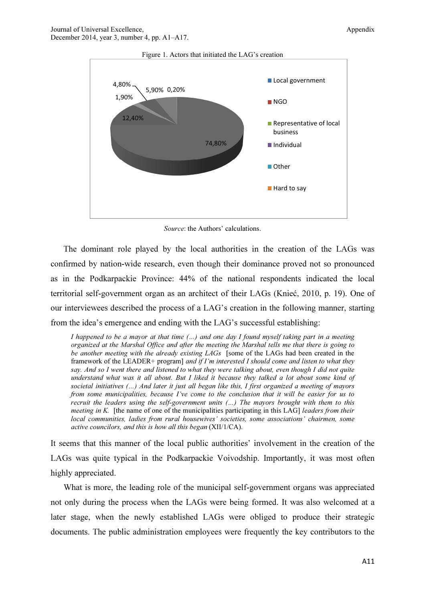

Figure 1. Actors that initiated the LAG's creation

Source: the Authors' calculations.

The dominant role played by the local authorities in the creation of the LAGs was confirmed by nation-wide research, even though their dominance proved not so pronounced as in the Podkarpackie Province: 44% of the national respondents indicated the local territorial self-government organ as an architect of their LAGs (Knieć, 2010, p. 19). One of our interviewees described the process of a LAG's creation in the following manner, starting from the idea's emergence and ending with the LAG's successful establishing:

I happened to be a mayor at that time (…) and one day I found myself taking part in a meeting organized at the Marshal Office and after the meeting the Marshal tells me that there is going to be another meeting with the already existing LAGs [some of the LAGs had been created in the framework of the LEADER+ program] and if  $I'm$  interested I should come and listen to what they say. And so I went there and listened to what they were talking about, even though I did not quite understand what was it all about. But I liked it because they talked a lot about some kind of societal initiatives (...) And later it just all began like this, I first organized a meeting of mayors from some municipalities, because I've come to the conclusion that it will be easier for us to recruit the leaders using the self-government units (…) The mayors brought with them to this *meeting in K.* [the name of one of the municipalities participating in this LAG] *leaders from their* local communities, ladies from rural housewives' societies, some associations' chairmen, some active councilors, and this is how all this began (XII/1/CA).

It seems that this manner of the local public authorities' involvement in the creation of the LAGs was quite typical in the Podkarpackie Voivodship. Importantly, it was most often highly appreciated.

What is more, the leading role of the municipal self-government organs was appreciated not only during the process when the LAGs were being formed. It was also welcomed at a later stage, when the newly established LAGs were obliged to produce their strategic documents. The public administration employees were frequently the key contributors to the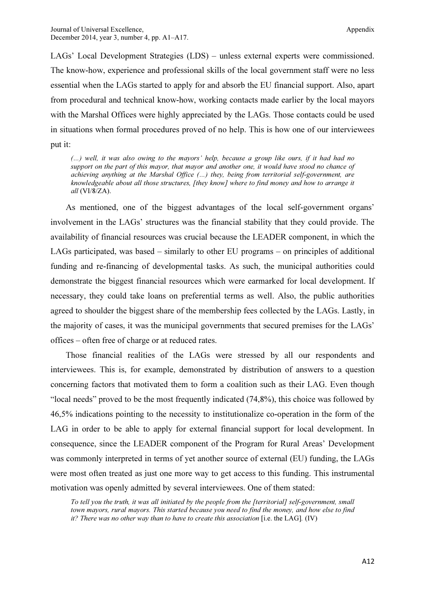LAGs' Local Development Strategies (LDS) – unless external experts were commissioned. The know-how, experience and professional skills of the local government staff were no less essential when the LAGs started to apply for and absorb the EU financial support. Also, apart from procedural and technical know-how, working contacts made earlier by the local mayors with the Marshal Offices were highly appreciated by the LAGs. Those contacts could be used in situations when formal procedures proved of no help. This is how one of our interviewees put it:

(…) well, it was also owing to the mayors' help, because a group like ours, if it had had no support on the part of this mayor, that mayor and another one, it would have stood no chance of achieving anything at the Marshal Office (…) they, being from territorial self-government, are knowledgeable about all those structures, [they know] where to find money and how to arrange it all (VI/8/ZA).

As mentioned, one of the biggest advantages of the local self-government organs' involvement in the LAGs' structures was the financial stability that they could provide. The availability of financial resources was crucial because the LEADER component, in which the LAGs participated, was based – similarly to other EU programs – on principles of additional funding and re-financing of developmental tasks. As such, the municipal authorities could demonstrate the biggest financial resources which were earmarked for local development. If necessary, they could take loans on preferential terms as well. Also, the public authorities agreed to shoulder the biggest share of the membership fees collected by the LAGs. Lastly, in the majority of cases, it was the municipal governments that secured premises for the LAGs' offices – often free of charge or at reduced rates.

Those financial realities of the LAGs were stressed by all our respondents and interviewees. This is, for example, demonstrated by distribution of answers to a question concerning factors that motivated them to form a coalition such as their LAG. Even though "local needs" proved to be the most frequently indicated (74,8%), this choice was followed by 46,5% indications pointing to the necessity to institutionalize co-operation in the form of the LAG in order to be able to apply for external financial support for local development. In consequence, since the LEADER component of the Program for Rural Areas' Development was commonly interpreted in terms of yet another source of external (EU) funding, the LAGs were most often treated as just one more way to get access to this funding. This instrumental motivation was openly admitted by several interviewees. One of them stated:

To tell you the truth, it was all initiated by the people from the [territorial] self-government, small town mayors, rural mayors. This started because you need to find the money, and how else to find it? There was no other way than to have to create this association [i.e. the LAG].  $(IV)$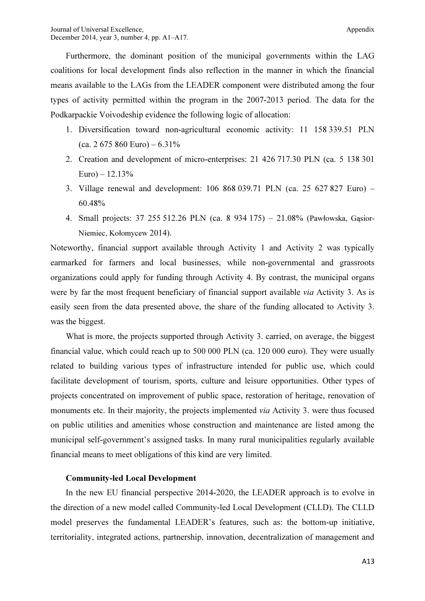Furthermore, the dominant position of the municipal governments within the LAG coalitions for local development finds also reflection in the manner in which the financial means available to the LAGs from the LEADER component were distributed among the four types of activity permitted within the program in the 2007-2013 period. The data for the Podkarpackie Voivodeship evidence the following logic of allocation:

- 1. Diversification toward non-agricultural economic activity: 11 158 339.51 PLN (ca. 2 675 860 Euro) –  $6.31\%$
- 2. Creation and development of micro-enterprises: 21 426 717.30 PLN (ca. 5 138 301  $Euro - 12.13%$
- 3. Village renewal and development: 106 868 039.71 PLN (ca. 25 627 827 Euro) 60.48%
- 4. Small projects: 37 255 512.26 PLN (ca. 8 934 175) 21.08% (Pawłowska, Gąsior-Niemiec, Kołomycew 2014).

Noteworthy, financial support available through Activity 1 and Activity 2 was typically earmarked for farmers and local businesses, while non-governmental and grassroots organizations could apply for funding through Activity 4. By contrast, the municipal organs were by far the most frequent beneficiary of financial support available *via* Activity 3. As is easily seen from the data presented above, the share of the funding allocated to Activity 3. was the biggest.

What is more, the projects supported through Activity 3. carried, on average, the biggest financial value, which could reach up to 500 000 PLN (ca. 120 000 euro). They were usually related to building various types of infrastructure intended for public use, which could facilitate development of tourism, sports, culture and leisure opportunities. Other types of projects concentrated on improvement of public space, restoration of heritage, renovation of monuments etc. In their majority, the projects implemented via Activity 3. were thus focused on public utilities and amenities whose construction and maintenance are listed among the municipal self-government's assigned tasks. In many rural municipalities regularly available financial means to meet obligations of this kind are very limited.

## Community-led Local Development

In the new EU financial perspective 2014-2020, the LEADER approach is to evolve in the direction of a new model called Community-led Local Development (CLLD). The CLLD model preserves the fundamental LEADER's features, such as: the bottom-up initiative, territoriality, integrated actions, partnership, innovation, decentralization of management and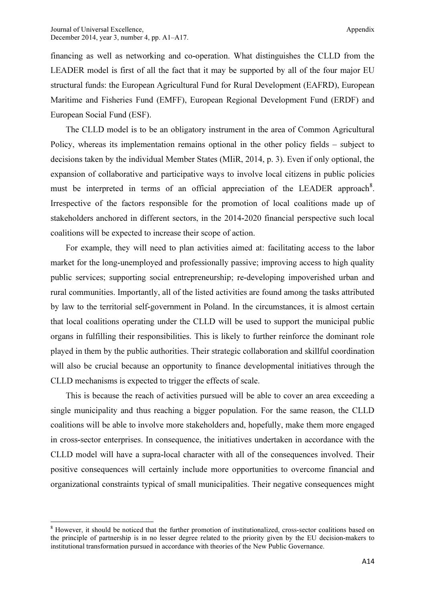financing as well as networking and co-operation. What distinguishes the CLLD from the LEADER model is first of all the fact that it may be supported by all of the four major EU structural funds: the European Agricultural Fund for Rural Development (EAFRD), European Maritime and Fisheries Fund (EMFF), European Regional Development Fund (ERDF) and European Social Fund (ESF).

The CLLD model is to be an obligatory instrument in the area of Common Agricultural Policy, whereas its implementation remains optional in the other policy fields – subject to decisions taken by the individual Member States (MIiR, 2014, p. 3). Even if only optional, the expansion of collaborative and participative ways to involve local citizens in public policies must be interpreted in terms of an official appreciation of the LEADER approach<sup>8</sup>. Irrespective of the factors responsible for the promotion of local coalitions made up of stakeholders anchored in different sectors, in the 2014-2020 financial perspective such local coalitions will be expected to increase their scope of action.

For example, they will need to plan activities aimed at: facilitating access to the labor market for the long-unemployed and professionally passive; improving access to high quality public services; supporting social entrepreneurship; re-developing impoverished urban and rural communities. Importantly, all of the listed activities are found among the tasks attributed by law to the territorial self-government in Poland. In the circumstances, it is almost certain that local coalitions operating under the CLLD will be used to support the municipal public organs in fulfilling their responsibilities. This is likely to further reinforce the dominant role played in them by the public authorities. Their strategic collaboration and skillful coordination will also be crucial because an opportunity to finance developmental initiatives through the CLLD mechanisms is expected to trigger the effects of scale.

This is because the reach of activities pursued will be able to cover an area exceeding a single municipality and thus reaching a bigger population. For the same reason, the CLLD coalitions will be able to involve more stakeholders and, hopefully, make them more engaged in cross-sector enterprises. In consequence, the initiatives undertaken in accordance with the CLLD model will have a supra-local character with all of the consequences involved. Their positive consequences will certainly include more opportunities to overcome financial and organizational constraints typical of small municipalities. Their negative consequences might

l

<sup>&</sup>lt;sup>8</sup> However, it should be noticed that the further promotion of institutionalized, cross-sector coalitions based on the principle of partnership is in no lesser degree related to the priority given by the EU decision-makers to institutional transformation pursued in accordance with theories of the New Public Governance.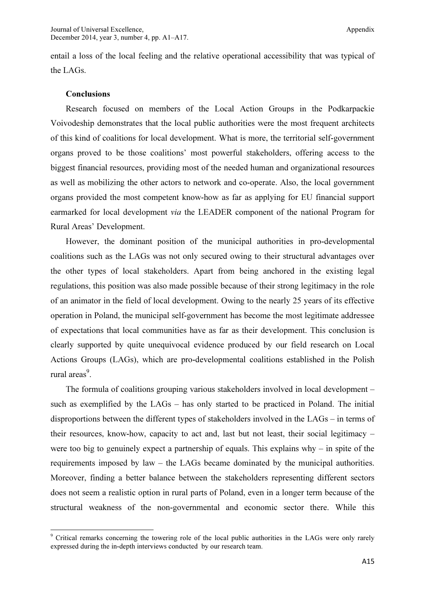entail a loss of the local feeling and the relative operational accessibility that was typical of the LAGs.

#### **Conclusions**

 $\overline{\phantom{a}}$ 

Research focused on members of the Local Action Groups in the Podkarpackie Voivodeship demonstrates that the local public authorities were the most frequent architects of this kind of coalitions for local development. What is more, the territorial self-government organs proved to be those coalitions' most powerful stakeholders, offering access to the biggest financial resources, providing most of the needed human and organizational resources as well as mobilizing the other actors to network and co-operate. Also, the local government organs provided the most competent know-how as far as applying for EU financial support earmarked for local development via the LEADER component of the national Program for Rural Areas' Development.

However, the dominant position of the municipal authorities in pro-developmental coalitions such as the LAGs was not only secured owing to their structural advantages over the other types of local stakeholders. Apart from being anchored in the existing legal regulations, this position was also made possible because of their strong legitimacy in the role of an animator in the field of local development. Owing to the nearly 25 years of its effective operation in Poland, the municipal self-government has become the most legitimate addressee of expectations that local communities have as far as their development. This conclusion is clearly supported by quite unequivocal evidence produced by our field research on Local Actions Groups (LAGs), which are pro-developmental coalitions established in the Polish rural areas<sup>9</sup>.

The formula of coalitions grouping various stakeholders involved in local development – such as exemplified by the LAGs – has only started to be practiced in Poland. The initial disproportions between the different types of stakeholders involved in the LAGs – in terms of their resources, know-how, capacity to act and, last but not least, their social legitimacy – were too big to genuinely expect a partnership of equals. This explains why – in spite of the requirements imposed by law – the LAGs became dominated by the municipal authorities. Moreover, finding a better balance between the stakeholders representing different sectors does not seem a realistic option in rural parts of Poland, even in a longer term because of the structural weakness of the non-governmental and economic sector there. While this

<sup>&</sup>lt;sup>9</sup> Critical remarks concerning the towering role of the local public authorities in the LAGs were only rarely expressed during the in-depth interviews conducted by our research team.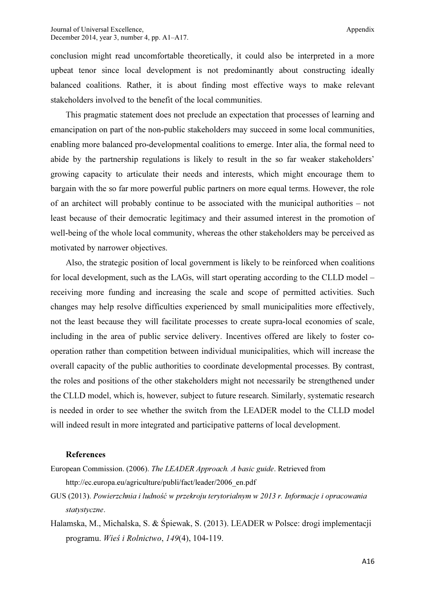conclusion might read uncomfortable theoretically, it could also be interpreted in a more upbeat tenor since local development is not predominantly about constructing ideally balanced coalitions. Rather, it is about finding most effective ways to make relevant stakeholders involved to the benefit of the local communities.

This pragmatic statement does not preclude an expectation that processes of learning and emancipation on part of the non-public stakeholders may succeed in some local communities, enabling more balanced pro-developmental coalitions to emerge. Inter alia, the formal need to abide by the partnership regulations is likely to result in the so far weaker stakeholders' growing capacity to articulate their needs and interests, which might encourage them to bargain with the so far more powerful public partners on more equal terms. However, the role of an architect will probably continue to be associated with the municipal authorities – not least because of their democratic legitimacy and their assumed interest in the promotion of well-being of the whole local community, whereas the other stakeholders may be perceived as motivated by narrower objectives.

Also, the strategic position of local government is likely to be reinforced when coalitions for local development, such as the LAGs, will start operating according to the CLLD model – receiving more funding and increasing the scale and scope of permitted activities. Such changes may help resolve difficulties experienced by small municipalities more effectively, not the least because they will facilitate processes to create supra-local economies of scale, including in the area of public service delivery. Incentives offered are likely to foster cooperation rather than competition between individual municipalities, which will increase the overall capacity of the public authorities to coordinate developmental processes. By contrast, the roles and positions of the other stakeholders might not necessarily be strengthened under the CLLD model, which is, however, subject to future research. Similarly, systematic research is needed in order to see whether the switch from the LEADER model to the CLLD model will indeed result in more integrated and participative patterns of local development.

#### References

- European Commission. (2006). The LEADER Approach. A basic guide. Retrieved from http://ec.europa.eu/agriculture/publi/fact/leader/2006\_en.pdf
- GUS (2013). Powierzchnia i ludność w przekroju terytorialnym w 2013 r. Informacje i opracowania statystyczne.
- Halamska, M., Michalska, S. & Śpiewak, S. (2013). LEADER w Polsce: drogi implementacji programu. Wieś i Rolnictwo, 149(4), 104-119.